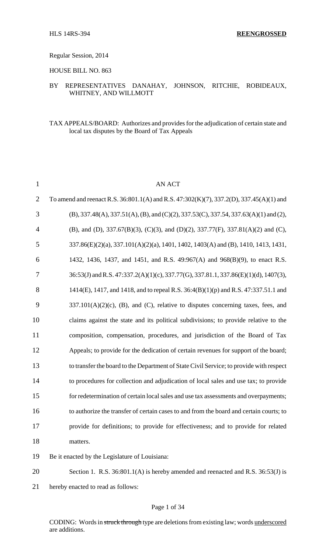### Regular Session, 2014

### HOUSE BILL NO. 863

# BY REPRESENTATIVES DANAHAY, JOHNSON, RITCHIE, ROBIDEAUX, WHITNEY, AND WILLMOTT

## TAX APPEALS/BOARD: Authorizes and provides for the adjudication of certain state and local tax disputes by the Board of Tax Appeals

| $\mathbf{1}$   | <b>AN ACT</b>                                                                           |
|----------------|-----------------------------------------------------------------------------------------|
| $\overline{2}$ | To amend and reenact R.S. 36:801.1(A) and R.S. 47:302(K)(7), 337.2(D), 337.45(A)(1) and |
| 3              | $(B)$ , 337.48(A), 337.51(A), (B), and (C)(2), 337.53(C), 337.54, 337.63(A)(1) and (2), |
| $\overline{4}$ | (B), and (D), 337.67(B)(3), (C)(3), and (D)(2), 337.77(F), 337.81(A)(2) and (C),        |
| 5              | 337.86(E)(2)(a), 337.101(A)(2)(a), 1401, 1402, 1403(A) and (B), 1410, 1413, 1431,       |
| 6              | 1432, 1436, 1437, and 1451, and R.S. 49:967(A) and 968(B)(9), to enact R.S.             |
| 7              | 36:53(J) and R.S. 47:337.2(A)(1)(c), 337.77(G), 337.81.1, 337.86(E)(1)(d), 1407(3),     |
| 8              | 1414(E), 1417, and 1418, and to repeal R.S. 36:4(B)(1)(p) and R.S. 47:337.51.1 and      |
| 9              | $337.101(A)(2)(c)$ , (B), and (C), relative to disputes concerning taxes, fees, and     |
| 10             | claims against the state and its political subdivisions; to provide relative to the     |
| 11             | composition, compensation, procedures, and jurisdiction of the Board of Tax             |
| 12             | Appeals; to provide for the dedication of certain revenues for support of the board;    |
| 13             | to transfer the board to the Department of State Civil Service; to provide with respect |
| 14             | to procedures for collection and adjudication of local sales and use tax; to provide    |
| 15             | for redetermination of certain local sales and use tax assessments and overpayments;    |
| 16             | to authorize the transfer of certain cases to and from the board and certain courts; to |
| 17             | provide for definitions; to provide for effectiveness; and to provide for related       |
| 18             | matters.                                                                                |
| 19             | Be it enacted by the Legislature of Louisiana:                                          |
| 20             | Section 1. R.S. 36:801.1(A) is hereby amended and reenacted and R.S. 36:53(J) is        |

hereby enacted to read as follows: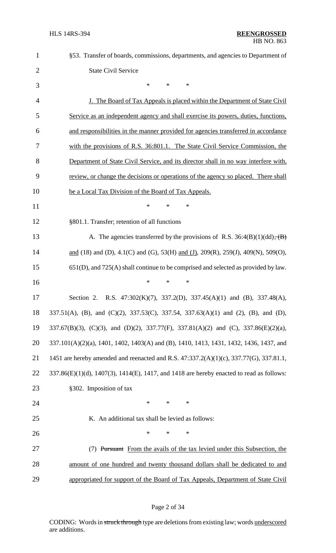| $\mathbf{1}$   | §53. Transfer of boards, commissions, departments, and agencies to Department of                       |
|----------------|--------------------------------------------------------------------------------------------------------|
| $\overline{2}$ | <b>State Civil Service</b>                                                                             |
| 3              | $\ast$<br>*<br>$\ast$                                                                                  |
| $\overline{4}$ | <u>J. The Board of Tax Appeals is placed within the Department of State Civil</u>                      |
| 5              | Service as an independent agency and shall exercise its powers, duties, functions,                     |
| 6              | and responsibilities in the manner provided for agencies transferred in accordance                     |
| 7              | with the provisions of R.S. 36:801.1. The State Civil Service Commission, the                          |
| 8              | Department of State Civil Service, and its director shall in no way interfere with,                    |
| 9              | review, or change the decisions or operations of the agency so placed. There shall                     |
| 10             | be a Local Tax Division of the Board of Tax Appeals.                                                   |
| 11             | $\ast$<br>∗<br>*                                                                                       |
| 12             | §801.1. Transfer; retention of all functions                                                           |
| 13             | A. The agencies transferred by the provisions of R.S. $36:4(B)(1)(dd)$ , $(B)$                         |
| 14             | and (18) and (D), 4.1(C) and (G), 53(H) and (J), 209(R), 259(J), 409(N), 509(O),                       |
| 15             | $651(D)$ , and $725(A)$ shall continue to be comprised and selected as provided by law.                |
| 16             | ∗<br>*<br>∗                                                                                            |
| 17             | Section 2. R.S. $47:302(K)(7)$ , $337.2(D)$ , $337.45(A)(1)$ and (B), $337.48(A)$ ,                    |
| 18             | 337.51(A), (B), and (C)(2), 337.53(C), 337.54, 337.63(A)(1) and (2), (B), and (D),                     |
| 19             | 337.67(B)(3), (C)(3), and (D)(2), 337.77(F), 337.81(A)(2) and (C), 337.86(E)(2)(a),                    |
| 20             | 337.101(A)(2)(a), 1401, 1402, 1403(A) and (B), 1410, 1413, 1431, 1432, 1436, 1437, and                 |
| 21             | 1451 are hereby amended and reenacted and R.S. 47:337.2(A)(1)(c), 337.77(G), 337.81.1,                 |
| 22             | $337.86(E)(1)(d)$ , $1407(3)$ , $1414(E)$ , $1417$ , and $1418$ are hereby enacted to read as follows: |
| 23             | §302. Imposition of tax                                                                                |
| 24             | $\ast$<br>$\ast$<br>$\ast$                                                                             |
| 25             | K. An additional tax shall be levied as follows:                                                       |
| 26             | $\ast$<br>$\ast$<br>*                                                                                  |
| 27             | (7) Pursuant From the avails of the tax levied under this Subsection, the                              |
| 28             | amount of one hundred and twenty thousand dollars shall be dedicated to and                            |
| 29             | appropriated for support of the Board of Tax Appeals, Department of State Civil                        |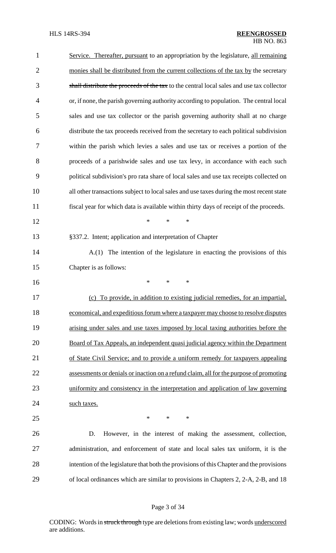| $\mathbf{1}$   | Service. Thereafter, pursuant to an appropriation by the legislature, all remaining       |
|----------------|-------------------------------------------------------------------------------------------|
| $\overline{2}$ | monies shall be distributed from the current collections of the tax by the secretary      |
| 3              | shall distribute the proceeds of the tax to the central local sales and use tax collector |
| $\overline{4}$ | or, if none, the parish governing authority according to population. The central local    |
| 5              | sales and use tax collector or the parish governing authority shall at no charge          |
| 6              | distribute the tax proceeds received from the secretary to each political subdivision     |
| 7              | within the parish which levies a sales and use tax or receives a portion of the           |
| 8              | proceeds of a parishwide sales and use tax levy, in accordance with each such             |
| 9              | political subdivision's pro rata share of local sales and use tax receipts collected on   |
| 10             | all other transactions subject to local sales and use taxes during the most recent state  |
| 11             | fiscal year for which data is available within thirty days of receipt of the proceeds.    |
| 12             | *<br>*<br>*                                                                               |
| 13             | §337.2. Intent; application and interpretation of Chapter                                 |
| 14             | The intention of the legislature in enacting the provisions of this<br>A(1)               |
| 15             | Chapter is as follows:                                                                    |
| 16             | ∗<br>*<br>*                                                                               |
| 17             | To provide, in addition to existing judicial remedies, for an impartial,<br>(c)           |
| 18             | economical, and expeditious forum where a taxpayer may choose to resolve disputes         |
| 19             | arising under sales and use taxes imposed by local taxing authorities before the          |
| 20             | Board of Tax Appeals, an independent quasi judicial agency within the Department          |
| 21             | of State Civil Service; and to provide a uniform remedy for taxpayers appealing           |
| 22             | assessments or denials or inaction on a refund claim, all for the purpose of promoting    |
| 23             | uniformity and consistency in the interpretation and application of law governing         |
| 24             | such taxes.                                                                               |
| 25             | $\ast$<br>$\ast$<br>$\ast$                                                                |
| 26             | However, in the interest of making the assessment, collection,<br>D.                      |
| 27             | administration, and enforcement of state and local sales tax uniform, it is the           |
| 28             | intention of the legislature that both the provisions of this Chapter and the provisions  |
| 29             | of local ordinances which are similar to provisions in Chapters 2, 2-A, 2-B, and 18       |
|                |                                                                                           |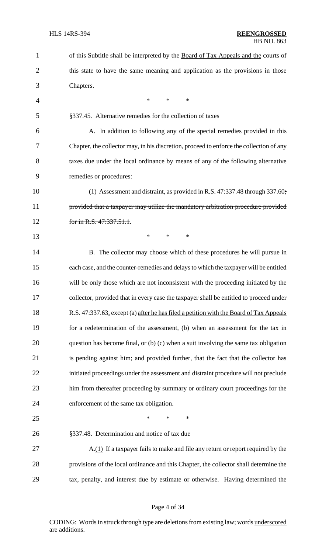| $\mathbf{1}$   | of this Subtitle shall be interpreted by the Board of Tax Appeals and the courts of     |
|----------------|-----------------------------------------------------------------------------------------|
| $\overline{2}$ | this state to have the same meaning and application as the provisions in those          |
| 3              | Chapters.                                                                               |
| $\overline{4}$ | $\ast$<br>*<br>∗                                                                        |
| 5              | §337.45. Alternative remedies for the collection of taxes                               |
| 6              | A. In addition to following any of the special remedies provided in this                |
| 7              | Chapter, the collector may, in his discretion, proceed to enforce the collection of any |
| 8              | taxes due under the local ordinance by means of any of the following alternative        |
| 9              | remedies or procedures:                                                                 |
| 10             | (1) Assessment and distraint, as provided in R.S. 47:337.48 through 337.60;             |
| 11             | provided that a taxpayer may utilize the mandatory arbitration procedure provided       |
| 12             | for in R.S. 47:337.51.1.                                                                |
| 13             | $\ast$<br>$\ast$<br>$\ast$                                                              |
| 14             | B. The collector may choose which of these procedures he will pursue in                 |
| 15             | each case, and the counter-remedies and delays to which the taxpayer will be entitled   |
| 16             | will be only those which are not inconsistent with the proceeding initiated by the      |
| 17             | collector, provided that in every case the taxpayer shall be entitled to proceed under  |
| 18             | R.S. 47:337.63, except (a) after he has filed a petition with the Board of Tax Appeals  |
| 19             | for a redetermination of the assessment, (b) when an assessment for the tax in          |
| 20             | question has become final, or $(b)$ (c) when a suit involving the same tax obligation   |
| 21             | is pending against him; and provided further, that the fact that the collector has      |
| 22             | initiated proceedings under the assessment and distraint procedure will not preclude    |
| 23             | him from thereafter proceeding by summary or ordinary court proceedings for the         |
| 24             | enforcement of the same tax obligation.                                                 |
| 25             | ∗<br>$\ast$<br>*                                                                        |
| 26             | §337.48. Determination and notice of tax due                                            |
| 27             | A.(1) If a taxpayer fails to make and file any return or report required by the         |
| 28             | provisions of the local ordinance and this Chapter, the collector shall determine the   |
| 29             | tax, penalty, and interest due by estimate or otherwise. Having determined the          |
|                |                                                                                         |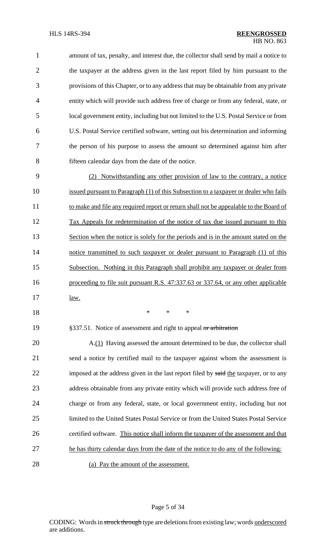| $\mathbf{1}$   | amount of tax, penalty, and interest due, the collector shall send by mail a notice to |
|----------------|----------------------------------------------------------------------------------------|
| 2              | the taxpayer at the address given in the last report filed by him pursuant to the      |
| 3              | provisions of this Chapter, or to any address that may be obtainable from any private  |
| $\overline{4}$ | entity which will provide such address free of charge or from any federal, state, or   |
| $\mathfrak{S}$ | local government entity, including but not limited to the U.S. Postal Service or from  |
| 6              | U.S. Postal Service certified software, setting out his determination and informing    |
| 7              | the person of his purpose to assess the amount so determined against him after         |
| 8              | fifteen calendar days from the date of the notice.                                     |

9 (2) Notwithstanding any other provision of law to the contrary, a notice 10 issued pursuant to Paragraph (1) of this Subsection to a taxpayer or dealer who fails 11 to make and file any required report or return shall not be appealable to the Board of 12 Tax Appeals for redetermination of the notice of tax due issued pursuant to this 13 Section when the notice is solely for the periods and is in the amount stated on the 14 notice transmitted to such taxpayer or dealer pursuant to Paragraph (1) of this 15 Subsection. Nothing in this Paragraph shall prohibit any taxpayer or dealer from 16 proceeding to file suit pursuant R.S. 47:337.63 or 337.64, or any other applicable 17 <u>law.</u>

- 18 \* \* \*
- 

19 §337.51. Notice of assessment and right to appeal or arbitration

 A.(1) Having assessed the amount determined to be due, the collector shall send a notice by certified mail to the taxpayer against whom the assessment is 22 imposed at the address given in the last report filed by said the taxpayer, or to any address obtainable from any private entity which will provide such address free of charge or from any federal, state, or local government entity, including but not limited to the United States Postal Service or from the United States Postal Service certified software. This notice shall inform the taxpayer of the assessment and that 27 he has thirty calendar days from the date of the notice to do any of the following: (a) Pay the amount of the assessment.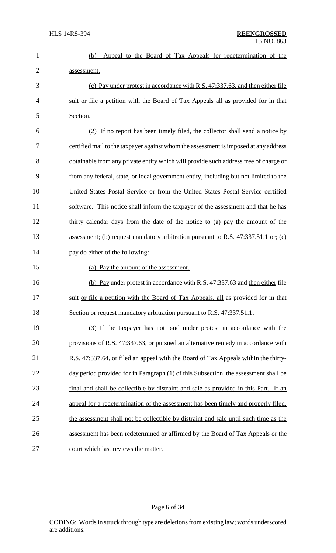|                | HB NO. 863                                                                                |
|----------------|-------------------------------------------------------------------------------------------|
| $\mathbf{1}$   | Appeal to the Board of Tax Appeals for redetermination of the<br>(b)                      |
| $\overline{2}$ | assessment.                                                                               |
| 3              | (c) Pay under protest in accordance with R.S. 47:337.63, and then either file             |
| $\overline{4}$ | suit or file a petition with the Board of Tax Appeals all as provided for in that         |
| 5              | Section.                                                                                  |
| 6              | $(2)$ If no report has been timely filed, the collector shall send a notice by            |
| 7              | certified mail to the taxpayer against whom the assessment is imposed at any address      |
| 8              | obtainable from any private entity which will provide such address free of charge or      |
| 9              | from any federal, state, or local government entity, including but not limited to the     |
| 10             | United States Postal Service or from the United States Postal Service certified           |
| 11             | software. This notice shall inform the taxpayer of the assessment and that he has         |
| 12             | thirty calendar days from the date of the notice to $(a)$ pay the amount of the           |
| 13             | assessment; (b) request mandatory arbitration pursuant to R.S. $47:337.51.1$ or; (c)      |
| 14             | pay do either of the following:                                                           |
| 15             | (a) Pay the amount of the assessment.                                                     |
| 16             | (b) Pay under protest in accordance with R.S. 47:337.63 and then either file              |
| 17             | suit <u>or file a petition with the Board of Tax Appeals, all</u> as provided for in that |
| 18             | Section or request mandatory arbitration pursuant to R.S. 47:337.51.1.                    |
| 19             | (3) If the taxpayer has not paid under protest in accordance with the                     |
| 20             | provisions of R.S. 47:337.63, or pursued an alternative remedy in accordance with         |
| 21             | R.S. 47:337.64, or filed an appeal with the Board of Tax Appeals within the thirty-       |
| 22             | day period provided for in Paragraph (1) of this Subsection, the assessment shall be      |
| 23             | final and shall be collectible by distraint and sale as provided in this Part. If an      |
| 24             | appeal for a redetermination of the assessment has been timely and properly filed,        |

25 the assessment shall not be collectible by distraint and sale until such time as the 26 assessment has been redetermined or affirmed by the Board of Tax Appeals or the 27 court which last reviews the matter.

Page 6 of 34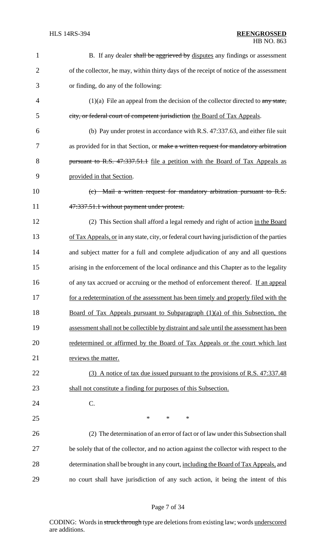| $\mathbf{1}$   | B. If any dealer shall be aggrieved by disputes any findings or assessment                 |
|----------------|--------------------------------------------------------------------------------------------|
| $\overline{2}$ | of the collector, he may, within thirty days of the receipt of notice of the assessment    |
| 3              | or finding, do any of the following:                                                       |
| $\overline{4}$ | $(1)(a)$ File an appeal from the decision of the collector directed to any state,          |
| 5              | city, or federal court of competent jurisdiction the Board of Tax Appeals.                 |
| 6              | (b) Pay under protest in accordance with R.S. 47:337.63, and either file suit              |
| 7              | as provided for in that Section, or make a written request for mandatory arbitration       |
| 8              | pursuant to R.S. 47:337.51.1 file a petition with the Board of Tax Appeals as              |
| 9              | provided in that Section.                                                                  |
| 10             | (c) Mail a written request for mandatory arbitration pursuant to R.S.                      |
| 11             | 47:337.51.1 without payment under protest.                                                 |
| 12             | (2) This Section shall afford a legal remedy and right of action in the Board              |
| 13             | of Tax Appeals, or in any state, city, or federal court having jurisdiction of the parties |
| 14             | and subject matter for a full and complete adjudication of any and all questions           |
| 15             | arising in the enforcement of the local ordinance and this Chapter as to the legality      |
| 16             | of any tax accrued or accruing or the method of enforcement thereof. If an appeal          |
| 17             | for a redetermination of the assessment has been timely and properly filed with the        |
| 18             | Board of Tax Appeals pursuant to Subparagraph (1)(a) of this Subsection, the               |
| 19             | assessment shall not be collectible by distraint and sale until the assessment has been    |
| 20             | redetermined or affirmed by the Board of Tax Appeals or the court which last               |
| 21             | reviews the matter.                                                                        |
| 22             | (3) A notice of tax due issued pursuant to the provisions of R.S. 47:337.48                |
| 23             | shall not constitute a finding for purposes of this Subsection.                            |
| 24             | C.                                                                                         |
| 25             | $\ast$<br>$\ast$<br>∗                                                                      |
| 26             | (2) The determination of an error of fact or of law under this Subsection shall            |
| 27             | be solely that of the collector, and no action against the collector with respect to the   |
| 28             | determination shall be brought in any court, including the Board of Tax Appeals, and       |
| 29             | no court shall have jurisdiction of any such action, it being the intent of this           |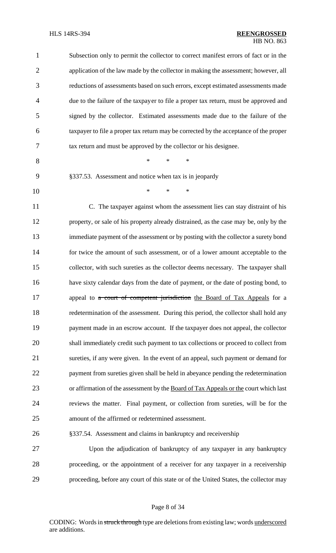| $\mathbf{1}$   | Subsection only to permit the collector to correct manifest errors of fact or in the  |
|----------------|---------------------------------------------------------------------------------------|
| $\overline{2}$ | application of the law made by the collector in making the assessment; however, all   |
| 3              | reductions of assessments based on such errors, except estimated assessments made     |
| 4              | due to the failure of the taxpayer to file a proper tax return, must be approved and  |
| 5              | signed by the collector. Estimated assessments made due to the failure of the         |
| 6              | taxpayer to file a proper tax return may be corrected by the acceptance of the proper |
| 7              | tax return and must be approved by the collector or his designee.                     |
| 8              | $\ast$<br>$\ast$<br>*                                                                 |
| 9              | §337.53. Assessment and notice when tax is in jeopardy                                |
| 10             | *<br>$\ast$<br>*                                                                      |
| 11             | C. The taxpayer against whom the assessment lies can stay distraint of his            |
| 12             | property, or sale of his property already distrained, as the case may be, only by the |
| 13             | immediate payment of the assessment or by posting with the collector a surety bond    |
| 14             | for twice the amount of such assessment, or of a lower amount acceptable to the       |
| 15             | collector, with such sureties as the collector deems necessary. The taxpayer shall    |
| 16             | have sixty calendar days from the date of payment, or the date of posting bond, to    |
| 17             | appeal to a court of competent jurisdiction the Board of Tax Appeals for a            |
| 18             | redetermination of the assessment. During this period, the collector shall hold any   |
| 19             | payment made in an escrow account. If the taxpayer does not appeal, the collector     |
| 20             | shall immediately credit such payment to tax collections or proceed to collect from   |
| 21             | sureties, if any were given. In the event of an appeal, such payment or demand for    |
| 22             | payment from sureties given shall be held in abeyance pending the redetermination     |
| 23             | or affirmation of the assessment by the Board of Tax Appeals or the court which last  |
| 24             | reviews the matter. Final payment, or collection from sureties, will be for the       |
| 25             | amount of the affirmed or redetermined assessment.                                    |
| 26             | §337.54. Assessment and claims in bankruptcy and receivership                         |
| 27             | Upon the adjudication of bankruptcy of any taxpayer in any bankruptcy                 |
| 28             | proceeding, or the appointment of a receiver for any taxpayer in a receivership       |
| 29             | proceeding, before any court of this state or of the United States, the collector may |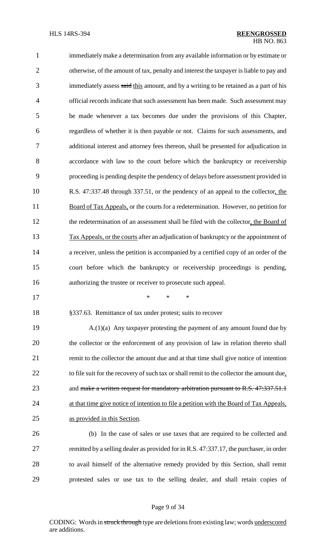immediately make a determination from any available information or by estimate or otherwise, of the amount of tax, penalty and interest the taxpayer is liable to pay and 3 immediately assess said this amount, and by a writing to be retained as a part of his official records indicate that such assessment has been made. Such assessment may be made whenever a tax becomes due under the provisions of this Chapter, regardless of whether it is then payable or not. Claims for such assessments, and additional interest and attorney fees thereon, shall be presented for adjudication in accordance with law to the court before which the bankruptcy or receivership proceeding is pending despite the pendency of delays before assessment provided in R.S. 47:337.48 through 337.51, or the pendency of an appeal to the collector, the Board of Tax Appeals, or the courts for a redetermination. However, no petition for the redetermination of an assessment shall be filed with the collector, the Board of Tax Appeals, or the courts after an adjudication of bankruptcy or the appointment of 14 a receiver, unless the petition is accompanied by a certified copy of an order of the court before which the bankruptcy or receivership proceedings is pending, authorizing the trustee or receiver to prosecute such appeal.

\* \* \*

§337.63. Remittance of tax under protest; suits to recover

 A.(1)(a) Any taxpayer protesting the payment of any amount found due by the collector or the enforcement of any provision of law in relation thereto shall remit to the collector the amount due and at that time shall give notice of intention 22 to file suit for the recovery of such tax or shall remit to the collector the amount due, 23 and make a written request for mandatory arbitration pursuant to R.S. 47:337.51.1 24 at that time give notice of intention to file a petition with the Board of Tax Appeals, as provided in this Section.

 (b) In the case of sales or use taxes that are required to be collected and remitted by a selling dealer as provided for in R.S. 47:337.17, the purchaser, in order to avail himself of the alternative remedy provided by this Section, shall remit protested sales or use tax to the selling dealer, and shall retain copies of

#### Page 9 of 34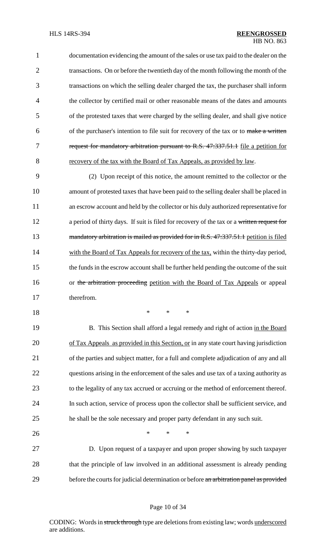documentation evidencing the amount of the sales or use tax paid to the dealer on the 2 transactions. On or before the twentieth day of the month following the month of the transactions on which the selling dealer charged the tax, the purchaser shall inform the collector by certified mail or other reasonable means of the dates and amounts of the protested taxes that were charged by the selling dealer, and shall give notice 6 of the purchaser's intention to file suit for recovery of the tax or to make a written 7 request for mandatory arbitration pursuant to R.S. 47:337.51.1 file a petition for recovery of the tax with the Board of Tax Appeals, as provided by law.

9 (2) Upon receipt of this notice, the amount remitted to the collector or the 10 amount of protested taxes that have been paid to the selling dealer shall be placed in 11 an escrow account and held by the collector or his duly authorized representative for 12 a period of thirty days. If suit is filed for recovery of the tax or a written request for 13 mandatory arbitration is mailed as provided for in R.S. 47:337.51.1 petition is filed 14 with the Board of Tax Appeals for recovery of the tax, within the thirty-day period, 15 the funds in the escrow account shall be further held pending the outcome of the suit 16 or the arbitration proceeding petition with the Board of Tax Appeals or appeal 17 therefrom.

18 \* \* \*

19 B. This Section shall afford a legal remedy and right of action in the Board 20 of Tax Appeals as provided in this Section, or in any state court having jurisdiction of the parties and subject matter, for a full and complete adjudication of any and all questions arising in the enforcement of the sales and use tax of a taxing authority as to the legality of any tax accrued or accruing or the method of enforcement thereof. In such action, service of process upon the collector shall be sufficient service, and he shall be the sole necessary and proper party defendant in any such suit.

27 D. Upon request of a taxpayer and upon proper showing by such taxpayer 28 that the principle of law involved in an additional assessment is already pending 29 before the courts for judicial determination or before an arbitration panel as provided

26  $*$  \* \* \*

#### Page 10 of 34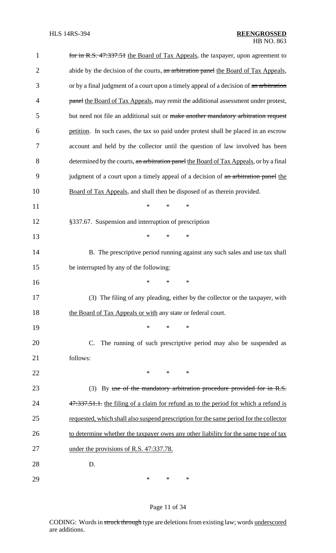| $\mathbf{1}$   | for in R.S. 47:337.51 the Board of Tax Appeals, the taxpayer, upon agreement to        |
|----------------|----------------------------------------------------------------------------------------|
| $\overline{2}$ | abide by the decision of the courts, an arbitration panel the Board of Tax Appeals,    |
| 3              | or by a final judgment of a court upon a timely appeal of a decision of an arbitration |
| $\overline{4}$ | panel the Board of Tax Appeals, may remit the additional assessment under protest,     |
| 5              | but need not file an additional suit or make another mandatory arbitration request     |
| 6              | petition. In such cases, the tax so paid under protest shall be placed in an escrow    |
| 7              | account and held by the collector until the question of law involved has been          |
| 8              | determined by the courts, an arbitration panel the Board of Tax Appeals, or by a final |
| 9              | judgment of a court upon a timely appeal of a decision of an arbitration panel the     |
| 10             | Board of Tax Appeals, and shall then be disposed of as therein provided.               |
| 11             | $\ast$<br>$\ast$<br>*                                                                  |
| 12             | §337.67. Suspension and interruption of prescription                                   |
| 13             | $\ast$<br>*<br>*                                                                       |
| 14             | B. The prescriptive period running against any such sales and use tax shall            |
| 15             | be interrupted by any of the following:                                                |
| 16             | *<br>*<br>$\ast$                                                                       |
| 17             | (3) The filing of any pleading, either by the collector or the taxpayer, with          |
| 18             | the Board of Tax Appeals or with any state or federal court.                           |
| 19             | *<br>$\ast$<br>∗                                                                       |
| 20             | The running of such prescriptive period may also be suspended as<br>C.                 |
| 21             | follows:                                                                               |
| 22             | $\ast$<br>$*$<br>$\ast$                                                                |
| 23             | (3) By use of the mandatory arbitration procedure provided for in R.S.                 |
| 24             | 47:337.51.1. the filing of a claim for refund as to the period for which a refund is   |
| 25             | requested, which shall also suspend prescription for the same period for the collector |
| 26             | to determine whether the taxpayer owes any other liability for the same type of tax    |
| 27             | under the provisions of R.S. 47:337.78.                                                |
| 28             | D.                                                                                     |
| 29             | *<br>*<br>∗                                                                            |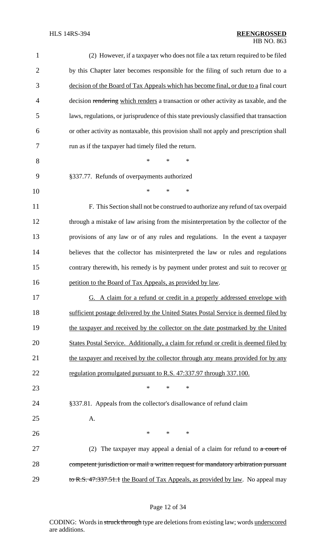| $\mathbf{1}$   | (2) However, if a taxpayer who does not file a tax return required to be filed           |
|----------------|------------------------------------------------------------------------------------------|
| $\overline{2}$ | by this Chapter later becomes responsible for the filing of such return due to a         |
| 3              | decision of the Board of Tax Appeals which has become final, or due to a final court     |
| $\overline{4}$ | decision rendering which renders a transaction or other activity as taxable, and the     |
| 5              | laws, regulations, or jurisprudence of this state previously classified that transaction |
| 6              | or other activity as nontaxable, this provision shall not apply and prescription shall   |
| 7              | run as if the taxpayer had timely filed the return.                                      |
| 8              | *<br>$\ast$<br>$\ast$                                                                    |
| 9              | §337.77. Refunds of overpayments authorized                                              |
| 10             | $\ast$<br>$\ast$<br>$\ast$                                                               |
| 11             | F. This Section shall not be construed to authorize any refund of tax overpaid           |
| 12             | through a mistake of law arising from the misinterpretation by the collector of the      |
| 13             | provisions of any law or of any rules and regulations. In the event a taxpayer           |
| 14             | believes that the collector has misinterpreted the law or rules and regulations          |
| 15             | contrary therewith, his remedy is by payment under protest and suit to recover or        |
| 16             | petition to the Board of Tax Appeals, as provided by law.                                |
| 17             | <u>G. A claim for a refund or credit in a properly addressed envelope with</u>           |
| 18             | sufficient postage delivered by the United States Postal Service is deemed filed by      |
| 19             | the taxpayer and received by the collector on the date postmarked by the United          |
| 20             | States Postal Service. Additionally, a claim for refund or credit is deemed filed by     |
| 21             | the taxpayer and received by the collector through any means provided for by any         |
| 22             | regulation promulgated pursuant to R.S. 47:337.97 through 337.100.                       |
| 23             | $\ast$<br>$\ast$<br>$\ast$                                                               |
| 24             | §337.81. Appeals from the collector's disallowance of refund claim                       |
| 25             | A.                                                                                       |
| 26             | $\ast$<br>$\ast$<br>$\ast$                                                               |
| 27             | (2) The taxpayer may appeal a denial of a claim for refund to $\alpha$ court of          |
| 28             | competent jurisdiction or mail a written request for mandatory arbitration pursuant      |
| 29             | to R.S. 47:337.51.1 the Board of Tax Appeals, as provided by law. No appeal may          |

# Page 12 of 34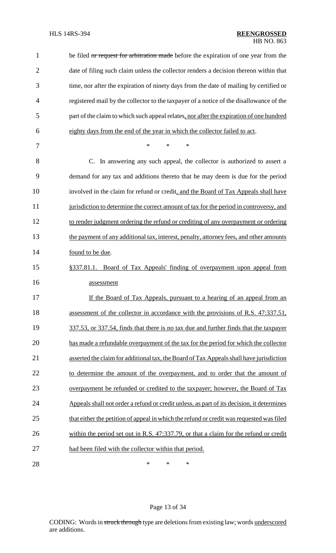| $\mathbf{1}$   | be filed or request for arbitration made before the expiration of one year from the       |
|----------------|-------------------------------------------------------------------------------------------|
| $\overline{2}$ | date of filing such claim unless the collector renders a decision thereon within that     |
| 3              | time, nor after the expiration of ninety days from the date of mailing by certified or    |
| 4              | registered mail by the collector to the taxpayer of a notice of the disallowance of the   |
| 5              | part of the claim to which such appeal relates, nor after the expiration of one hundred   |
| 6              | eighty days from the end of the year in which the collector failed to act.                |
| 7              | *<br>*<br>*                                                                               |
| 8              | C. In answering any such appeal, the collector is authorized to assert a                  |
| 9              | demand for any tax and additions thereto that he may deem is due for the period           |
| 10             | involved in the claim for refund or credit, and the Board of Tax Appeals shall have       |
| 11             | jurisdiction to determine the correct amount of tax for the period in controversy, and    |
| 12             | to render judgment ordering the refund or crediting of any overpayment or ordering        |
| 13             | the payment of any additional tax, interest, penalty, attorney fees, and other amounts    |
| 14             | found to be due.                                                                          |
| 15             | §337.81.1. Board of Tax Appeals' finding of overpayment upon appeal from                  |
| 16             | assessment                                                                                |
| 17             | If the Board of Tax Appeals, pursuant to a hearing of an appeal from an                   |
| 18             | assessment of the collector in accordance with the provisions of R.S. 47:337.51,          |
| 19             | 337.53, or 337.54, finds that there is no tax due and further finds that the taxpayer     |
| 20             | has made a refundable overpayment of the tax for the period for which the collector       |
| 21             | asserted the claim for additional tax, the Board of Tax Appeals shall have jurisdiction   |
| 22             | to determine the amount of the overpayment, and to order that the amount of               |
| 23             | overpayment be refunded or credited to the taxpayer; however, the Board of Tax            |
| 24             | Appeals shall not order a refund or credit unless, as part of its decision, it determines |
| 25             | that either the petition of appeal in which the refund or credit was requested was filed  |
| 26             | within the period set out in R.S. 47:337.79, or that a claim for the refund or credit     |
| 27             | had been filed with the collector within that period.                                     |
| 28             | *<br>*<br>*                                                                               |

# Page 13 of 34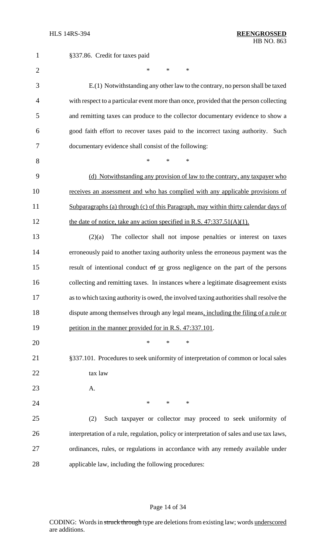| $\mathbf{1}$   | §337.86. Credit for taxes paid                                                            |
|----------------|-------------------------------------------------------------------------------------------|
| $\overline{2}$ | $\ast$<br>$\ast$<br>$\ast$                                                                |
| 3              | E.(1) Notwithstanding any other law to the contrary, no person shall be taxed             |
| $\overline{4}$ | with respect to a particular event more than once, provided that the person collecting    |
| 5              | and remitting taxes can produce to the collector documentary evidence to show a           |
| 6              | good faith effort to recover taxes paid to the incorrect taxing authority. Such           |
| 7              | documentary evidence shall consist of the following:                                      |
| 8              | $\ast$<br>$\ast$<br>*                                                                     |
| 9              | (d) Notwithstanding any provision of law to the contrary, any taxpayer who                |
| 10             | receives an assessment and who has complied with any applicable provisions of             |
| 11             | Subparagraphs (a) through (c) of this Paragraph, may within thirty calendar days of       |
| 12             | the date of notice, take any action specified in R.S. $47:337.51(A)(1)$ .                 |
| 13             | The collector shall not impose penalties or interest on taxes<br>(2)(a)                   |
| 14             | erroneously paid to another taxing authority unless the erroneous payment was the         |
| 15             | result of intentional conduct of or gross negligence on the part of the persons           |
| 16             | collecting and remitting taxes. In instances where a legitimate disagreement exists       |
| 17             | as to which taxing authority is owed, the involved taxing authorities shall resolve the   |
| 18             | dispute among themselves through any legal means, including the filing of a rule or       |
| 19             | petition in the manner provided for in R.S. 47:337.101.                                   |
| 20             | $\ast$<br>$\ast$<br>$\ast$                                                                |
| 21             | §337.101. Procedures to seek uniformity of interpretation of common or local sales        |
| 22             | tax law                                                                                   |
| 23             | A.                                                                                        |
| 24             | $*$ and $*$<br>$*$<br>$\ast$                                                              |
| 25             | Such taxpayer or collector may proceed to seek uniformity of<br>(2)                       |
| 26             | interpretation of a rule, regulation, policy or interpretation of sales and use tax laws, |
| 27             | ordinances, rules, or regulations in accordance with any remedy available under           |
| 28             | applicable law, including the following procedures:                                       |

# Page 14 of 34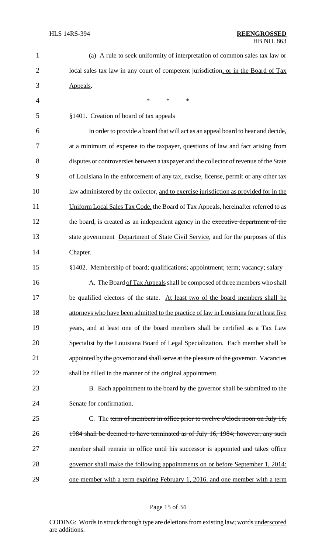| $\mathbf{1}$   | (a) A rule to seek uniformity of interpretation of common sales tax law or             |
|----------------|----------------------------------------------------------------------------------------|
| $\overline{2}$ | local sales tax law in any court of competent jurisdiction, or in the Board of Tax     |
| 3              | Appeals.                                                                               |
| 4              | *<br>$\ast$<br>$\ast$                                                                  |
| 5              | §1401. Creation of board of tax appeals                                                |
| 6              | In order to provide a board that will act as an appeal board to hear and decide,       |
| 7              | at a minimum of expense to the taxpayer, questions of law and fact arising from        |
| 8              | disputes or controversies between a taxpayer and the collector of revenue of the State |
| 9              | of Louisiana in the enforcement of any tax, excise, license, permit or any other tax   |
| 10             | law administered by the collector, and to exercise jurisdiction as provided for in the |
| 11             | Uniform Local Sales Tax Code, the Board of Tax Appeals, hereinafter referred to as     |
| 12             | the board, is created as an independent agency in the executive department of the      |
| 13             | state government Department of State Civil Service, and for the purposes of this       |
| 14             | Chapter.                                                                               |
| 15             | §1402. Membership of board; qualifications; appointment; term; vacancy; salary         |
| 16             | A. The Board of Tax Appeals shall be composed of three members who shall               |
| 17             | be qualified electors of the state. At least two of the board members shall be         |
| 18             | attorneys who have been admitted to the practice of law in Louisiana for at least five |
| 19             | years, and at least one of the board members shall be certified as a Tax Law           |
| 20             | Specialist by the Louisiana Board of Legal Specialization. Each member shall be        |
| 21             | appointed by the governor and shall serve at the pleasure of the governor. Vacancies   |
| 22             | shall be filled in the manner of the original appointment.                             |
| 23             | B. Each appointment to the board by the governor shall be submitted to the             |
| 24             | Senate for confirmation.                                                               |
| 25             | C. The term of members in office prior to twelve o'clock noon on July 16,              |
| 26             | 1984 shall be deemed to have terminated as of July 16, 1984; however, any such         |
| 27             | member shall remain in office until his successor is appointed and takes office        |
| 28             | governor shall make the following appointments on or before September 1, 2014:         |
| 29             | one member with a term expiring February 1, 2016, and one member with a term           |
|                |                                                                                        |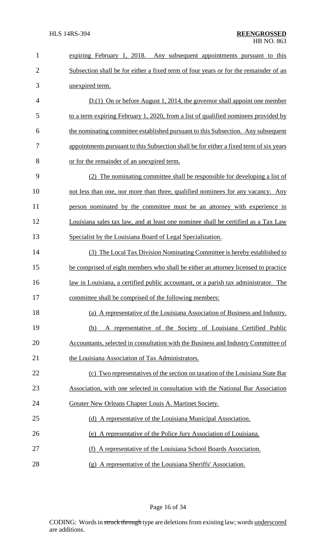| $\mathbf{1}$   | expiring February 1, 2018. Any subsequent appointments pursuant to this                |
|----------------|----------------------------------------------------------------------------------------|
| $\overline{2}$ | Subsection shall be for either a fixed term of four years or for the remainder of an   |
| 3              | unexpired term.                                                                        |
| $\overline{4}$ | $D(1)$ On or before August 1, 2014, the governor shall appoint one member              |
| 5              | to a term expiring February 1, 2020, from a list of qualified nominees provided by     |
| 6              | the nominating committee established pursuant to this Subsection. Any subsequent       |
| 7              | appointments pursuant to this Subsection shall be for either a fixed term of six years |
| 8              | or for the remainder of an unexpired term.                                             |
| 9              | (2) The nominating committee shall be responsible for developing a list of             |
| 10             | not less than one, nor more than three, qualified nominees for any vacancy. Any        |
| 11             | person nominated by the committee must be an attorney with experience in               |
| 12             | Louisiana sales tax law, and at least one nominee shall be certified as a Tax Law      |
| 13             | Specialist by the Louisiana Board of Legal Specialization.                             |
| 14             | (3) The Local Tax Division Nominating Committee is hereby established to               |
| 15             | be comprised of eight members who shall be either an attorney licensed to practice     |
| 16             | law in Louisiana, a certified public accountant, or a parish tax administrator. The    |
| 17             | committee shall be comprised of the following members:                                 |
| 18             | (a) A representative of the Louisiana Association of Business and Industry.            |
| 19             | A representative of the Society of Louisiana Certified Public<br>(b)                   |
| 20             | Accountants, selected in consultation with the Business and Industry Committee of      |
| 21             | the Louisiana Association of Tax Administrators.                                       |
| 22             | (c) Two representatives of the section on taxation of the Louisiana State Bar          |
| 23             | Association, with one selected in consultation with the National Bar Association       |
| 24             | Greater New Orleans Chapter Louis A. Martinet Society.                                 |
| 25             | (d) A representative of the Louisiana Municipal Association.                           |
| 26             | (e) A representative of the Police Jury Association of Louisiana.                      |
| 27             | A representative of the Louisiana School Boards Association.<br>(f)                    |
| 28             | (g) A representative of the Louisiana Sheriffs' Association.                           |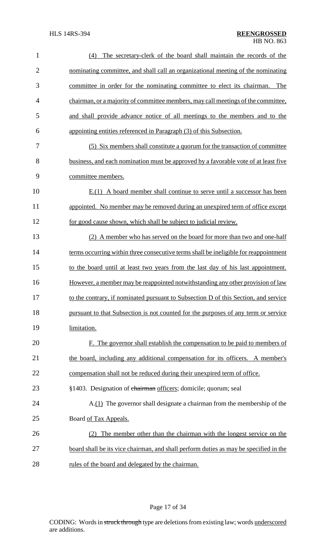| $\mathbf{1}$   | The secretary-clerk of the board shall maintain the records of the<br>(4)             |
|----------------|---------------------------------------------------------------------------------------|
| $\overline{2}$ | nominating committee, and shall call an organizational meeting of the nominating      |
| 3              | committee in order for the nominating committee to elect its chairman.<br>The         |
| 4              | chairman, or a majority of committee members, may call meetings of the committee,     |
| 5              | and shall provide advance notice of all meetings to the members and to the            |
| 6              | appointing entities referenced in Paragraph (3) of this Subsection.                   |
| 7              | (5) Six members shall constitute a quorum for the transaction of committee            |
| 8              | business, and each nomination must be approved by a favorable vote of at least five   |
| 9              | committee members.                                                                    |
| 10             | $E(1)$ A board member shall continue to serve until a successor has been              |
| 11             | appointed. No member may be removed during an unexpired term of office except         |
| 12             | for good cause shown, which shall be subject to judicial review.                      |
| 13             | (2) A member who has served on the board for more than two and one-half               |
| 14             | terms occurring within three consecutive terms shall be ineligible for reappointment  |
| 15             | to the board until at least two years from the last day of his last appointment.      |
| 16             | However, a member may be reappointed notwithstanding any other provision of law       |
| 17             | to the contrary, if nominated pursuant to Subsection D of this Section, and service   |
| 18             | pursuant to that Subsection is not counted for the purposes of any term or service    |
| 19             | limitation.                                                                           |
| 20             | F. The governor shall establish the compensation to be paid to members of             |
| 21             | the board, including any additional compensation for its officers. A member's         |
| 22             | compensation shall not be reduced during their unexpired term of office.              |
| 23             | §1403. Designation of chairman officers; domicile; quorum; seal                       |
| 24             | A.(1) The governor shall designate a chairman from the membership of the              |
| 25             | Board of Tax Appeals.                                                                 |
| 26             | (2) The member other than the chairman with the longest service on the                |
| 27             | board shall be its vice chairman, and shall perform duties as may be specified in the |
| 28             | rules of the board and delegated by the chairman.                                     |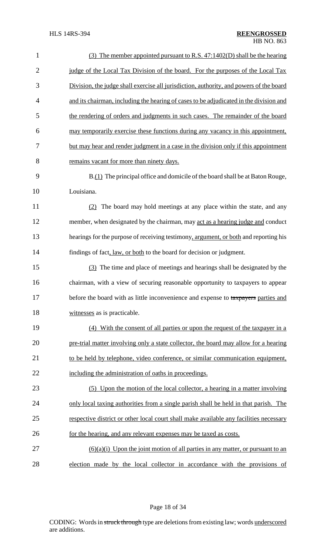| $\mathbf{1}$   | (3) The member appointed pursuant to R.S. 47:1402(D) shall be the hearing               |
|----------------|-----------------------------------------------------------------------------------------|
| $\overline{2}$ | judge of the Local Tax Division of the board. For the purposes of the Local Tax         |
| 3              | Division, the judge shall exercise all jurisdiction, authority, and powers of the board |
| $\overline{4}$ | and its chairman, including the hearing of cases to be adjudicated in the division and  |
| 5              | the rendering of orders and judgments in such cases. The remainder of the board         |
| 6              | may temporarily exercise these functions during any vacancy in this appointment,        |
| 7              | but may hear and render judgment in a case in the division only if this appointment     |
| 8              | remains vacant for more than ninety days.                                               |
| 9              | B.(1) The principal office and domicile of the board shall be at Baton Rouge,           |
| 10             | Louisiana.                                                                              |
| 11             | (2) The board may hold meetings at any place within the state, and any                  |
| 12             | member, when designated by the chairman, may act as a hearing judge and conduct         |
| 13             | hearings for the purpose of receiving testimony, argument, or both and reporting his    |
| 14             | findings of fact, law, or both to the board for decision or judgment.                   |
| 15             | (3) The time and place of meetings and hearings shall be designated by the              |
| 16             | chairman, with a view of securing reasonable opportunity to taxpayers to appear         |
| 17             | before the board with as little inconvenience and expense to taxpayers parties and      |
| 18             | witnesses as is practicable.                                                            |
| 19             | (4) With the consent of all parties or upon the request of the taxpayer in a            |
| 20             | pre-trial matter involving only a state collector, the board may allow for a hearing    |
| 21             | to be held by telephone, video conference, or similar communication equipment,          |
| 22             | including the administration of oaths in proceedings.                                   |
| 23             | (5) Upon the motion of the local collector, a hearing in a matter involving             |
| 24             | only local taxing authorities from a single parish shall be held in that parish. The    |
| 25             | respective district or other local court shall make available any facilities necessary  |
| 26             | for the hearing, and any relevant expenses may be taxed as costs.                       |
| 27             | $(6)(a)(i)$ Upon the joint motion of all parties in any matter, or pursuant to an       |
| 28             | election made by the local collector in accordance with the provisions of               |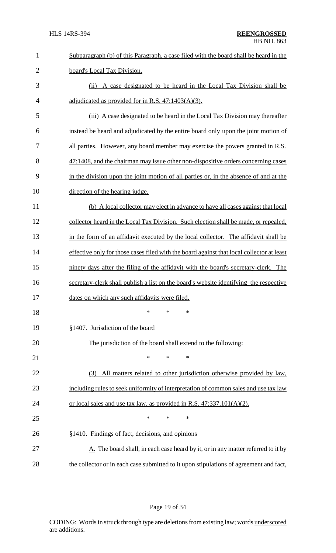| $\mathbf{1}$   | Subparagraph (b) of this Paragraph, a case filed with the board shall be heard in the           |
|----------------|-------------------------------------------------------------------------------------------------|
| $\overline{2}$ | board's Local Tax Division.                                                                     |
| 3              | (ii) A case designated to be heard in the Local Tax Division shall be                           |
| $\overline{4}$ | adjudicated as provided for in R.S. $47:1403(A)(3)$ .                                           |
| 5              | (iii) A case designated to be heard in the Local Tax Division may thereafter                    |
| 6              | instead be heard and adjudicated by the entire board only upon the joint motion of              |
| 7              | all parties. However, any board member may exercise the powers granted in R.S.                  |
| 8              | 47:1408, and the chairman may issue other non-dispositive orders concerning cases               |
| 9              | in the division upon the joint motion of all parties or, in the absence of and at the           |
| 10             | direction of the hearing judge.                                                                 |
| 11             | (b) A local collector may elect in advance to have all cases against that local                 |
| 12             | collector heard in the Local Tax Division. Such election shall be made, or repealed,            |
| 13             | in the form of an affidavit executed by the local collector. The affidavit shall be             |
| 14             | effective only for those cases filed with the board against that local collector at least       |
| 15             | ninety days after the filing of the affidavit with the board's secretary-clerk. The             |
| 16             | secretary-clerk shall publish a list on the board's website identifying the respective          |
| 17             | dates on which any such affidavits were filed.                                                  |
| 18             | ∗<br>*<br>∗                                                                                     |
| 19             | §1407. Jurisdiction of the board                                                                |
| 20             | The jurisdiction of the board shall extend to the following:                                    |
| 21             | ∗<br>∗<br>∗                                                                                     |
| 22             | All matters related to other jurisdiction otherwise provided by law,<br>(3)                     |
| 23             | including rules to seek uniformity of interpretation of common sales and use tax law            |
| 24             | or local sales and use tax law, as provided in R.S. 47:337.101(A)(2).                           |
| 25             | ∗<br>∗<br>∗                                                                                     |
| 26             | §1410. Findings of fact, decisions, and opinions                                                |
| 27             | $\underline{A}$ . The board shall, in each case heard by it, or in any matter referred to it by |
| 28             | the collector or in each case submitted to it upon stipulations of agreement and fact,          |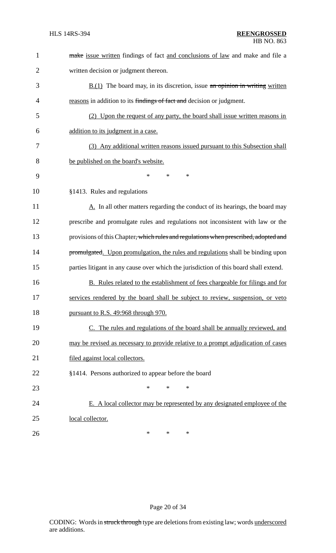| $\mathbf{1}$   | make issue written findings of fact and conclusions of law and make and file a            |
|----------------|-------------------------------------------------------------------------------------------|
| $\overline{2}$ | written decision or judgment thereon.                                                     |
| 3              | $\underline{B.(1)}$ The board may, in its discretion, issue an opinion in writing written |
| 4              | reasons in addition to its findings of fact and decision or judgment.                     |
| 5              | (2) Upon the request of any party, the board shall issue written reasons in               |
| 6              | addition to its judgment in a case.                                                       |
| 7              | (3) Any additional written reasons issued pursuant to this Subsection shall               |
| 8              | be published on the board's website.                                                      |
| 9              | $\ast$<br>$\ast$<br>∗                                                                     |
| 10             | §1413. Rules and regulations                                                              |
| 11             | A. In all other matters regarding the conduct of its hearings, the board may              |
| 12             | prescribe and promulgate rules and regulations not inconsistent with law or the           |
| 13             | provisions of this Chapter, which rules and regulations when prescribed, adopted and      |
| 14             | promulgated. Upon promulgation, the rules and regulations shall be binding upon           |
| 15             | parties litigant in any cause over which the jurisdiction of this board shall extend.     |
| 16             | B. Rules related to the establishment of fees chargeable for filings and for              |
| 17             | services rendered by the board shall be subject to review, suspension, or veto            |
| 18             | pursuant to R.S. 49:968 through 970.                                                      |
| 19             | C. The rules and regulations of the board shall be annually reviewed, and                 |
| 20             | may be revised as necessary to provide relative to a prompt adjudication of cases         |
| 21             | filed against local collectors.                                                           |
| 22             | §1414. Persons authorized to appear before the board                                      |
| 23             | *<br>*<br>*                                                                               |
| 24             | E. A local collector may be represented by any designated employee of the                 |
| 25             | local collector.                                                                          |
| 26             | ∗<br>*<br>∗                                                                               |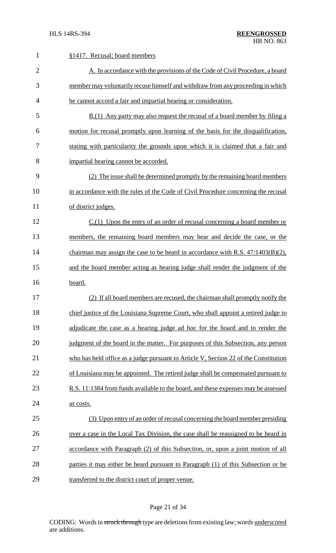| $\mathbf{1}$   | §1417. Recusal; board members                                                        |
|----------------|--------------------------------------------------------------------------------------|
| $\overline{2}$ | A. In accordance with the provisions of the Code of Civil Procedure, a board         |
| 3              | member may voluntarily recuse himself and withdraw from any proceeding in which      |
| 4              | he cannot accord a fair and impartial hearing or consideration.                      |
| 5              | B.(1) Any party may also request the recusal of a board member by filing a           |
| 6              | motion for recusal promptly upon learning of the basis for the disqualification,     |
| 7              | stating with particularity the grounds upon which it is claimed that a fair and      |
| 8              | impartial hearing cannot be accorded.                                                |
| 9              | (2) The issue shall be determined promptly by the remaining board members            |
| 10             | in accordance with the rules of the Code of Civil Procedure concerning the recusal   |
| 11             | of district judges.                                                                  |
| 12             | $C(1)$ Upon the entry of an order of recusal concerning a board member or            |
| 13             | members, the remaining board members may hear and decide the case, or the            |
| 14             | chairman may assign the case to be heard in accordance with R.S. $47:1403(B)(2)$ ,   |
| 15             | and the board member acting as hearing judge shall render the judgment of the        |
| 16             | board.                                                                               |
| 17             | (2) If all board members are recused, the chairman shall promptly notify the         |
| 18             | chief justice of the Louisiana Supreme Court, who shall appoint a retired judge to   |
| 19             | adjudicate the case as a hearing judge ad hoc for the board and to render the        |
| 20             | judgment of the board in the matter. For purposes of this Subsection, any person     |
| 21             | who has held office as a judge pursuant to Article V, Section 22 of the Constitution |
| 22             | of Louisiana may be appointed. The retired judge shall be compensated pursuant to    |
| 23             | R.S. 11:1384 from funds available to the board, and these expenses may be assessed   |
| 24             | as costs.                                                                            |
| 25             | (3) Upon entry of an order of recusal concerning the board member presiding          |
| 26             | over a case in the Local Tax Division, the case shall be reassigned to be heard in   |
| 27             | accordance with Paragraph (2) of this Subsection, or, upon a joint motion of all     |
| 28             | parties it may either be heard pursuant to Paragraph (1) of this Subsection or be    |
| 29             | transferred to the district court of proper venue.                                   |

# Page 21 of 34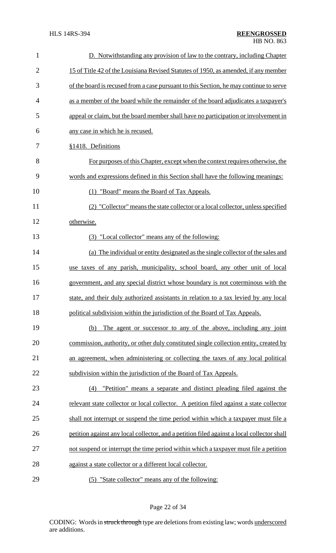| $\mathbf{1}$   | D. Notwithstanding any provision of law to the contrary, including Chapter                 |
|----------------|--------------------------------------------------------------------------------------------|
| $\overline{2}$ | 15 of Title 42 of the Louisiana Revised Statutes of 1950, as amended, if any member        |
| 3              | of the board is recused from a case pursuant to this Section, he may continue to serve     |
| $\overline{4}$ | as a member of the board while the remainder of the board adjudicates a taxpayer's         |
| 5              | appeal or claim, but the board member shall have no participation or involvement in        |
| 6              | any case in which he is recused.                                                           |
| 7              | §1418. Definitions                                                                         |
| 8              | For purposes of this Chapter, except when the context requires otherwise, the              |
| 9              | words and expressions defined in this Section shall have the following meanings:           |
| 10             | (1) "Board" means the Board of Tax Appeals.                                                |
| 11             | (2) "Collector" means the state collector or a local collector, unless specified           |
| 12             | otherwise.                                                                                 |
| 13             | (3) "Local collector" means any of the following:                                          |
| 14             | (a) The individual or entity designated as the single collector of the sales and           |
| 15             | use taxes of any parish, municipality, school board, any other unit of local               |
| 16             | government, and any special district whose boundary is not coterminous with the            |
| 17             | state, and their duly authorized assistants in relation to a tax levied by any local       |
| 18             | political subdivision within the jurisdiction of the Board of Tax Appeals.                 |
| 19             | The agent or successor to any of the above, including any joint<br>(b)                     |
| 20             | commission, authority, or other duly constituted single collection entity, created by      |
| 21             | an agreement, when administering or collecting the taxes of any local political            |
| 22             | subdivision within the jurisdiction of the Board of Tax Appeals.                           |
| 23             | "Petition" means a separate and distinct pleading filed against the<br>(4)                 |
| 24             | relevant state collector or local collector. A petition filed against a state collector    |
| 25             | shall not interrupt or suspend the time period within which a taxpayer must file a         |
| 26             | petition against any local collector, and a petition filed against a local collector shall |
| 27             | not suspend or interrupt the time period within which a taxpayer must file a petition      |
| 28             | against a state collector or a different local collector.                                  |
| 29             | (5) "State collector" means any of the following:                                          |

# Page 22 of 34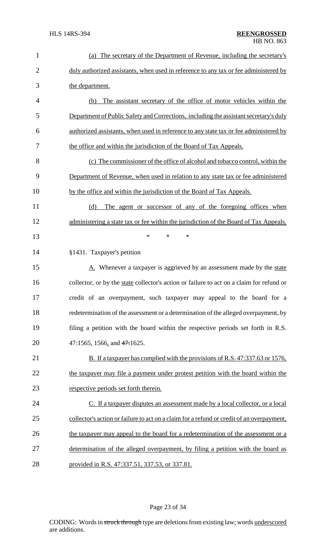| $\mathbf{1}$   | (a) The secretary of the Department of Revenue, including the secretary's                 |
|----------------|-------------------------------------------------------------------------------------------|
| $\overline{2}$ | duly authorized assistants, when used in reference to any tax or fee administered by      |
| 3              | the department.                                                                           |
| $\overline{4}$ | The assistant secretary of the office of motor vehicles within the<br>(b)                 |
| 5              | Department of Public Safety and Corrections, including the assistant secretary's duly     |
| 6              | authorized assistants, when used in reference to any state tax or fee administered by     |
| 7              | the office and within the jurisdiction of the Board of Tax Appeals.                       |
| 8              | (c) The commissioner of the office of alcohol and tobacco control, within the             |
| 9              | Department of Revenue, when used in relation to any state tax or fee administered         |
| 10             | by the office and within the jurisdiction of the Board of Tax Appeals.                    |
| 11             | The agent or successor of any of the foregoing offices when<br>(d)                        |
| 12             | administering a state tax or fee within the jurisdiction of the Board of Tax Appeals.     |
| 13             | $\ast$<br>$\ast$<br>$\ast$                                                                |
| 14             | §1431. Taxpayer's petition                                                                |
| 15             | A. Whenever a taxpayer is aggrieved by an assessment made by the state                    |
| 16             | collector, or by the state collector's action or failure to act on a claim for refund or  |
| 17             | credit of an overpayment, such taxpayer may appeal to the board for a                     |
| 18             | redetermination of the assessment or a determination of the alleged overpayment, by       |
| 19             | filing a petition with the board within the respective periods set forth in R.S.          |
| 20             | 47:1565, 1566, and 47:1625.                                                               |
| 21             | B. If a taxpayer has complied with the provisions of R.S. 47:337.63 or 1576,              |
| 22             | the taxpayer may file a payment under protest petition with the board within the          |
| 23             | respective periods set forth therein.                                                     |
| 24             | C. If a taxpayer disputes an assessment made by a local collector, or a local             |
| 25             | collector's action or failure to act on a claim for a refund or credit of an overpayment, |
| 26             | the taxpayer may appeal to the board for a redetermination of the assessment or a         |
| 27             | determination of the alleged overpayment, by filing a petition with the board as          |
| 28             | provided in R.S. 47:337.51, 337.53, or 337.81.                                            |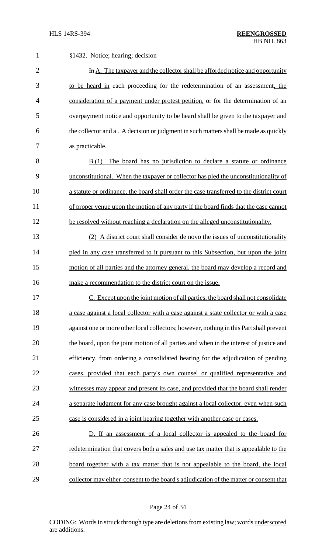| $\mathbf{1}$   | §1432. Notice; hearing; decision                                                         |
|----------------|------------------------------------------------------------------------------------------|
| $\overline{2}$ | In A. The taxpayer and the collector shall be afforded notice and opportunity            |
| 3              | to be heard in each proceeding for the redetermination of an assessment, the             |
| 4              | consideration of a payment under protest petition, or for the determination of an        |
| 5              | overpayment notice and opportunity to be heard shall be given to the taxpayer and        |
| 6              | the collector and a . A decision or judgment in such matters shall be made as quickly    |
| 7              | as practicable.                                                                          |
| 8              | The board has no jurisdiction to declare a statute or ordinance<br>B(1)                  |
| 9              | unconstitutional. When the taxpayer or collector has pled the unconstitutionality of     |
| 10             | a statute or ordinance, the board shall order the case transferred to the district court |
| 11             | of proper venue upon the motion of any party if the board finds that the case cannot     |
| 12             | be resolved without reaching a declaration on the alleged unconstitutionality.           |
| 13             | (2) A district court shall consider de novo the issues of unconstitutionality            |
| 14             | pled in any case transferred to it pursuant to this Subsection, but upon the joint       |
| 15             | motion of all parties and the attorney general, the board may develop a record and       |
| 16             | make a recommendation to the district court on the issue.                                |
| 17             | C. Except upon the joint motion of all parties, the board shall not consolidate          |
| 18             | a case against a local collector with a case against a state collector or with a case    |
| 19             | against one or more other local collectors; however, nothing in this Part shall prevent  |
| 20             | the board, upon the joint motion of all parties and when in the interest of justice and  |
| 21             | efficiency, from ordering a consolidated hearing for the adjudication of pending         |
| 22             | cases, provided that each party's own counsel or qualified representative and            |
| 23             | witnesses may appear and present its case, and provided that the board shall render      |
| 24             | a separate judgment for any case brought against a local collector, even when such       |
| 25             | case is considered in a joint hearing together with another case or cases.               |
| 26             | D. If an assessment of a local collector is appealed to the board for                    |
| 27             | redetermination that covers both a sales and use tax matter that is appealable to the    |
| 28             | board together with a tax matter that is not appealable to the board, the local          |
| 29             | collector may either consent to the board's adjudication of the matter or consent that   |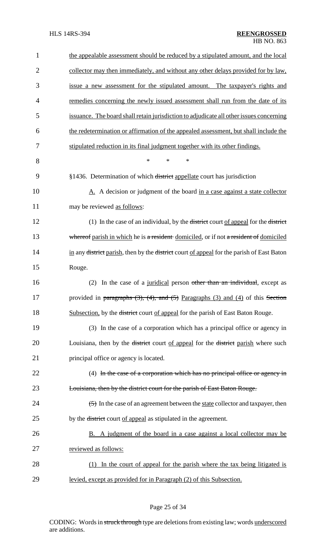| 1              | the appealable assessment should be reduced by a stipulated amount, and the local                               |
|----------------|-----------------------------------------------------------------------------------------------------------------|
| $\overline{2}$ | collector may then immediately, and without any other delays provided for by law,                               |
| 3              | issue a new assessment for the stipulated amount. The taxpayer's rights and                                     |
| 4              | remedies concerning the newly issued assessment shall run from the date of its                                  |
| 5              | issuance. The board shall retain jurisdiction to adjudicate all other issues concerning                         |
| 6              | the redetermination or affirmation of the appealed assessment, but shall include the                            |
| 7              | stipulated reduction in its final judgment together with its other findings.                                    |
| 8              | $\ast$<br>$\ast$<br>∗                                                                                           |
| 9              | §1436. Determination of which district appellate court has jurisdiction                                         |
| 10             | A. A decision or judgment of the board in a case against a state collector                                      |
| 11             | may be reviewed as follows:                                                                                     |
| 12             | (1) In the case of an individual, by the <del>district</del> court of appeal for the district                   |
| 13             | whereof parish in which he is a resident domiciled, or if not a resident of domiciled                           |
| 14             | in any <del>district</del> parish, then by the <del>district</del> court of appeal for the parish of East Baton |
| 15             | Rouge.                                                                                                          |
| 16             | In the case of a juridical person other than an individual, except as<br>(2)                                    |
| 17             | provided in paragraphs $(3)$ , $(4)$ , and $(5)$ Paragraphs $(3)$ and $(4)$ of this Section                     |
| 18             | Subsection, by the <del>district</del> court of appeal for the parish of East Baton Rouge.                      |
| 19             | (3) In the case of a corporation which has a principal office or agency in                                      |
| 20             | Louisiana, then by the <del>district</del> court of appeal for the <del>district</del> parish where such        |
| 21             | principal office or agency is located.                                                                          |
| 22             | (4) In the case of a corporation which has no principal office or agency in                                     |
| 23             | Louisiana, then by the district court for the parish of East Baton Rouge.                                       |
| 24             | $\left( \frac{1}{2} \right)$ In the case of an agreement between the state collector and taxpayer, then         |
| 25             | by the <del>district</del> court of appeal as stipulated in the agreement.                                      |
| 26             | <b>B.</b> A judgment of the board in a case against a local collector may be                                    |
| 27             | reviewed as follows:                                                                                            |
| 28             | (1) In the court of appeal for the parish where the tax being litigated is                                      |
| 29             | levied, except as provided for in Paragraph (2) of this Subsection.                                             |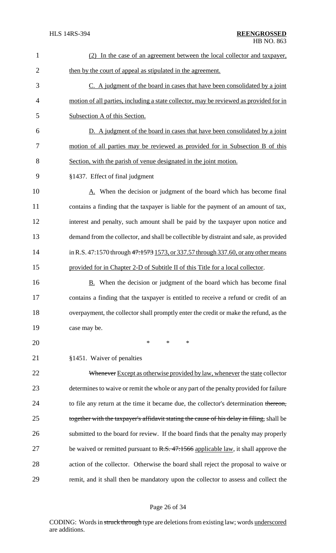| 1              | (2) In the case of an agreement between the local collector and taxpayer,                 |
|----------------|-------------------------------------------------------------------------------------------|
| $\overline{2}$ | then by the court of appeal as stipulated in the agreement.                               |
| 3              | C. A judgment of the board in cases that have been consolidated by a joint                |
| 4              | motion of all parties, including a state collector, may be reviewed as provided for in    |
| 5              | Subsection A of this Section.                                                             |
| 6              | D. A judgment of the board in cases that have been consolidated by a joint                |
| 7              | motion of all parties may be reviewed as provided for in Subsection B of this             |
| 8              | Section, with the parish of venue designated in the joint motion.                         |
| 9              | §1437. Effect of final judgment                                                           |
| 10             | A. When the decision or judgment of the board which has become final                      |
| 11             | contains a finding that the taxpayer is liable for the payment of an amount of tax,       |
| 12             | interest and penalty, such amount shall be paid by the taxpayer upon notice and           |
| 13             | demand from the collector, and shall be collectible by distraint and sale, as provided    |
| 14             | in R.S. 47:1570 through 47:1573 1573, or 337.57 through 337.60, or any other means        |
| 15             | provided for in Chapter 2-D of Subtitle II of this Title for a local collector.           |
| 16             | When the decision or judgment of the board which has become final<br>В.                   |
| 17             | contains a finding that the taxpayer is entitled to receive a refund or credit of an      |
| 18             | overpayment, the collector shall promptly enter the credit or make the refund, as the     |
| 19             | case may be.                                                                              |
| 20             | $\ast$<br>∗<br>∗                                                                          |
| 21             | §1451. Waiver of penalties                                                                |
| 22             | Whenever Except as otherwise provided by law, whenever the state collector                |
| 23             | determines to waive or remit the whole or any part of the penalty provided for failure    |
| 24             | to file any return at the time it became due, the collector's determination thereon,      |
| 25             | together with the taxpayer's affidavit stating the cause of his delay in filing, shall be |
| 26             | submitted to the board for review. If the board finds that the penalty may properly       |
| 27             | be waived or remitted pursuant to R.S. 47:1566 applicable law, it shall approve the       |
| 28             | action of the collector. Otherwise the board shall reject the proposal to waive or        |
| 29             | remit, and it shall then be mandatory upon the collector to assess and collect the        |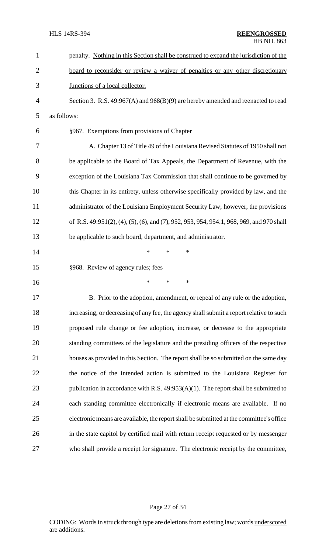| $\mathbf{1}$   | penalty. Nothing in this Section shall be construed to expand the jurisdiction of the    |
|----------------|------------------------------------------------------------------------------------------|
| $\overline{2}$ | board to reconsider or review a waiver of penalties or any other discretionary           |
| 3              | functions of a local collector.                                                          |
| 4              | Section 3. R.S. 49:967(A) and 968(B)(9) are hereby amended and reenacted to read         |
| 5              | as follows:                                                                              |
| 6              | §967. Exemptions from provisions of Chapter                                              |
| 7              | A. Chapter 13 of Title 49 of the Louisiana Revised Statutes of 1950 shall not            |
| 8              | be applicable to the Board of Tax Appeals, the Department of Revenue, with the           |
| 9              | exception of the Louisiana Tax Commission that shall continue to be governed by          |
| 10             | this Chapter in its entirety, unless otherwise specifically provided by law, and the     |
| 11             | administrator of the Louisiana Employment Security Law; however, the provisions          |
| 12             | of R.S. 49:951(2), (4), (5), (6), and (7), 952, 953, 954, 954.1, 968, 969, and 970 shall |
| 13             | be applicable to such board, department, and administrator.                              |
| 14             | *<br>*<br>*                                                                              |
| 15             | §968. Review of agency rules; fees                                                       |
| 16             | *<br>*<br>*                                                                              |
| 17             | B. Prior to the adoption, amendment, or repeal of any rule or the adoption,              |
| 18             | increasing, or decreasing of any fee, the agency shall submit a report relative to such  |
| 19             | proposed rule change or fee adoption, increase, or decrease to the appropriate           |
| 20             | standing committees of the legislature and the presiding officers of the respective      |
| 21             | houses as provided in this Section. The report shall be so submitted on the same day     |
| 22             | the notice of the intended action is submitted to the Louisiana Register for             |
| 23             | publication in accordance with R.S. 49:953(A)(1). The report shall be submitted to       |
| 24             | each standing committee electronically if electronic means are available. If no          |
| 25             | electronic means are available, the report shall be submitted at the committee's office  |
| 26             | in the state capitol by certified mail with return receipt requested or by messenger     |
| 27             | who shall provide a receipt for signature. The electronic receipt by the committee,      |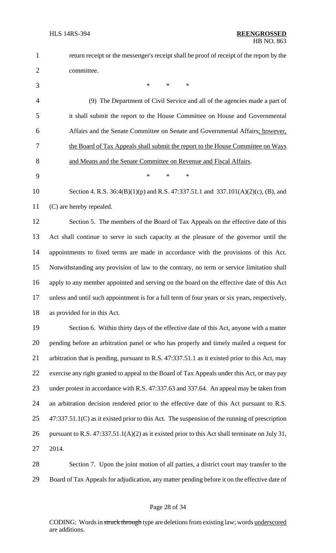| $\mathbf 1$    | return receipt or the messenger's receipt shall be proof of receipt of the report by the         |
|----------------|--------------------------------------------------------------------------------------------------|
| $\overline{2}$ | committee.                                                                                       |
| 3              | $\ast$<br>$\ast$<br>$\ast$                                                                       |
| $\overline{4}$ | (9) The Department of Civil Service and all of the agencies made a part of                       |
| 5              | it shall submit the report to the House Committee on House and Governmental                      |
| 6              | Affairs and the Senate Committee on Senate and Governmental Affairs; however,                    |
| 7              | the Board of Tax Appeals shall submit the report to the House Committee on Ways                  |
| 8              | and Means and the Senate Committee on Revenue and Fiscal Affairs.                                |
| 9              | *<br>$\ast$<br>$\ast$                                                                            |
| 10             | Section 4. R.S. $36:4(B)(1)(p)$ and R.S. $47:337.51.1$ and $337.101(A)(2)(c)$ , (B), and         |
| 11             | (C) are hereby repealed.                                                                         |
| 12             | Section 5. The members of the Board of Tax Appeals on the effective date of this                 |
| 13             | Act shall continue to serve in such capacity at the pleasure of the governor until the           |
| 14             | appointments to fixed terms are made in accordance with the provisions of this Act.              |
| 15             | Notwithstanding any provision of law to the contrary, no term or service limitation shall        |
| 16             | apply to any member appointed and serving on the board on the effective date of this Act         |
| 17             | unless and until such appointment is for a full term of four years or six years, respectively,   |
| 18             | as provided for in this Act.                                                                     |
| 19             | Section 6. Within thirty days of the effective date of this Act, anyone with a matter            |
| 20             | pending before an arbitration panel or who has properly and timely mailed a request for          |
| 21             | arbitration that is pending, pursuant to R.S. 47:337.51.1 as it existed prior to this Act, may   |
| 22             | exercise any right granted to appeal to the Board of Tax Appeals under this Act, or may pay      |
| 23             | under protest in accordance with R.S. 47:337.63 and 337.64. An appeal may be taken from          |
| 24             | an arbitration decision rendered prior to the effective date of this Act pursuant to R.S.        |
| 25             | $47:337.51.1(C)$ as it existed prior to this Act. The suspension of the running of prescription  |
| 26             | pursuant to R.S. $47:337.51.1(A)(2)$ as it existed prior to this Act shall terminate on July 31, |
| 27             | 2014.                                                                                            |
| 28             | Section 7. Upon the joint motion of all parties, a district court may transfer to the            |

Board of Tax Appeals for adjudication, any matter pending before it on the effective date of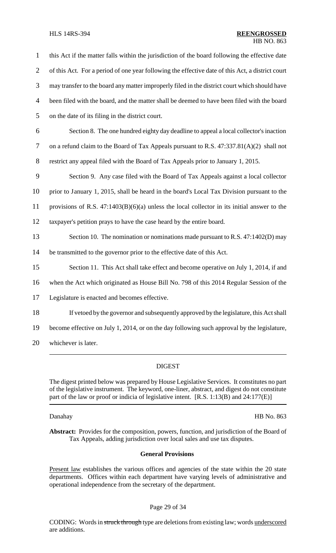#### HLS 14RS-394 **REENGROSSED** HB NO. 863

 this Act if the matter falls within the jurisdiction of the board following the effective date 2 of this Act. For a period of one year following the effective date of this Act, a district court may transfer to the board any matter improperly filed in the district court which should have been filed with the board, and the matter shall be deemed to have been filed with the board on the date of its filing in the district court. Section 8. The one hundred eighty day deadline to appeal a local collector's inaction on a refund claim to the Board of Tax Appeals pursuant to R.S. 47:337.81(A)(2) shall not restrict any appeal filed with the Board of Tax Appeals prior to January 1, 2015. Section 9. Any case filed with the Board of Tax Appeals against a local collector prior to January 1, 2015, shall be heard in the board's Local Tax Division pursuant to the provisions of R.S. 47:1403(B)(6)(a) unless the local collector in its initial answer to the taxpayer's petition prays to have the case heard by the entire board. 13 Section 10. The nomination or nominations made pursuant to R.S. 47:1402(D) may be transmitted to the governor prior to the effective date of this Act. Section 11. This Act shall take effect and become operative on July 1, 2014, if and when the Act which originated as House Bill No. 798 of this 2014 Regular Session of the Legislature is enacted and becomes effective.

- 18 If vetoed by the governor and subsequently approved by the legislature, this Actshall
- 19 become effective on July 1, 2014, or on the day following such approval by the legislature,
- 20 whichever is later.

## DIGEST

The digest printed below was prepared by House Legislative Services. It constitutes no part of the legislative instrument. The keyword, one-liner, abstract, and digest do not constitute part of the law or proof or indicia of legislative intent. [R.S. 1:13(B) and 24:177(E)]

Danahay HB No. 863

**Abstract:** Provides for the composition, powers, function, and jurisdiction of the Board of Tax Appeals, adding jurisdiction over local sales and use tax disputes.

## **General Provisions**

Present law establishes the various offices and agencies of the state within the 20 state departments. Offices within each department have varying levels of administrative and operational independence from the secretary of the department.

## Page 29 of 34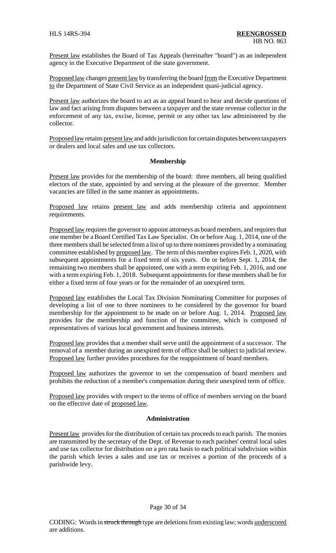Present law establishes the Board of Tax Appeals (hereinafter "board") as an independent agency in the Executive Department of the state government.

Proposed law changes present law by transferring the board from the Executive Department to the Department of State Civil Service as an independent quasi-judicial agency.

Present law authorizes the board to act as an appeal board to hear and decide questions of law and fact arising from disputes between a taxpayer and the state revenue collector in the enforcement of any tax, excise, license, permit or any other tax law administered by the collector.

Proposed law retains present law and adds jurisdiction for certain disputes between taxpayers or dealers and local sales and use tax collectors.

#### **Membership**

Present law provides for the membership of the board: three members, all being qualified electors of the state, appointed by and serving at the pleasure of the governor. Member vacancies are filled in the same manner as appointments.

Proposed law retains present law and adds membership criteria and appointment requirements.

Proposed law requires the governor to appoint attorneys as board members, and requires that one member be a Board Certified Tax Law Specialist. On or before Aug. 1, 2014, one of the three membersshall be selected from a list of up to three nominees provided by a nominating committee established by proposed law. The term of this member expires Feb. 1, 2020, with subsequent appointments for a fixed term of six years. On or before Sept. 1, 2014, the remaining two members shall be appointed, one with a term expiring Feb. 1, 2016, and one with a term expiring Feb. 1, 2018. Subsequent appointments for these members shall be for either a fixed term of four years or for the remainder of an unexpired term.

Proposed law establishes the Local Tax Division Nominating Committee for purposes of developing a list of one to three nominees to be considered by the governor for board membership for the appointment to be made on or before Aug. 1, 2014. Proposed law provides for the membership and function of the committee, which is composed of representatives of various local government and business interests.

Proposed law provides that a member shall serve until the appointment of a successor. The removal of a member during an unexpired term of office shall be subject to judicial review. Proposed law further provides procedures for the reappointment of board members.

Proposed law authorizes the governor to set the compensation of board members and prohibits the reduction of a member's compensation during their unexpired term of office.

Proposed law provides with respect to the terms of office of members serving on the board on the effective date of proposed law.

#### **Administration**

Present law provides for the distribution of certain tax proceeds to each parish. The monies are transmitted by the secretary of the Dept. of Revenue to each parishes' central local sales and use tax collector for distribution on a pro rata basis to each political subdivision within the parish which levies a sales and use tax or receives a portion of the proceeds of a parishwide levy.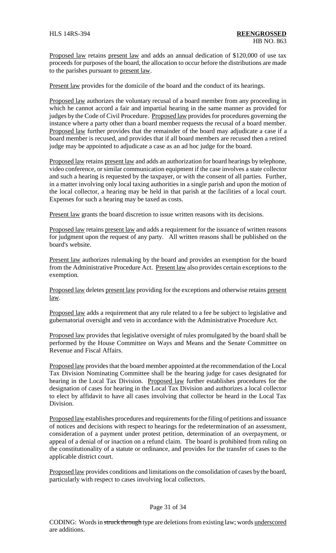Proposed law retains present law and adds an annual dedication of \$120,000 of use tax proceeds for purposes of the board, the allocation to occur before the distributions are made to the parishes pursuant to present law.

Present law provides for the domicile of the board and the conduct of its hearings.

Proposed law authorizes the voluntary recusal of a board member from any proceeding in which he cannot accord a fair and impartial hearing in the same manner as provided for judges by the Code of Civil Procedure. Proposed law provides for procedures governing the instance where a party other than a board member requests the recusal of a board member. Proposed law further provides that the remainder of the board may adjudicate a case if a board member is recused, and provides that if all board members are recused then a retired judge may be appointed to adjudicate a case as an ad hoc judge for the board.

Proposed law retains present law and adds an authorization for board hearings by telephone, video conference, or similar communication equipment if the case involves a state collector and such a hearing is requested by the taxpayer, or with the consent of all parties. Further, in a matter involving only local taxing authorities in a single parish and upon the motion of the local collector, a hearing may be held in that parish at the facilities of a local court. Expenses for such a hearing may be taxed as costs.

Present law grants the board discretion to issue written reasons with its decisions.

Proposed law retains present law and adds a requirement for the issuance of written reasons for judgment upon the request of any party. All written reasons shall be published on the board's website.

Present law authorizes rulemaking by the board and provides an exemption for the board from the Administrative Procedure Act. Present law also provides certain exceptions to the exemption.

Proposed law deletes present law providing for the exceptions and otherwise retains present law.

Proposed law adds a requirement that any rule related to a fee be subject to legislative and gubernatorial oversight and veto in accordance with the Administrative Procedure Act.

Proposed law provides that legislative oversight of rules promulgated by the board shall be performed by the House Committee on Ways and Means and the Senate Committee on Revenue and Fiscal Affairs.

Proposed law provides that the board member appointed at the recommendation of the Local Tax Division Nominating Committee shall be the hearing judge for cases designated for hearing in the Local Tax Division. Proposed law further establishes procedures for the designation of cases for hearing in the Local Tax Division and authorizes a local collector to elect by affidavit to have all cases involving that collector be heard in the Local Tax Division.

Proposed law establishes procedures and requirements for the filing of petitions and issuance of notices and decisions with respect to hearings for the redetermination of an assessment, consideration of a payment under protest petition, determination of an overpayment, or appeal of a denial of or inaction on a refund claim. The board is prohibited from ruling on the constitutionality of a statute or ordinance, and provides for the transfer of cases to the applicable district court.

Proposed law provides conditions and limitations on the consolidation of cases by the board, particularly with respect to cases involving local collectors.

## Page 31 of 34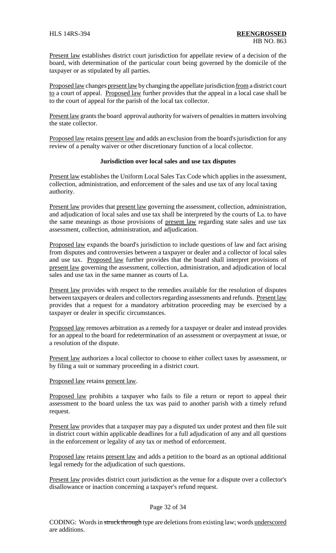Present law establishes district court jurisdiction for appellate review of a decision of the board, with determination of the particular court being governed by the domicile of the taxpayer or as stipulated by all parties.

Proposed law changes present law by changing the appellate jurisdiction from a district court to a court of appeal. Proposed law further provides that the appeal in a local case shall be to the court of appeal for the parish of the local tax collector.

Present law grants the board approval authority for waivers of penalties in matters involving the state collector.

Proposed law retains present law and adds an exclusion from the board's jurisdiction for any review of a penalty waiver or other discretionary function of a local collector.

### **Jurisdiction over local sales and use tax disputes**

Present law establishes the Uniform Local Sales Tax Code which applies in the assessment, collection, administration, and enforcement of the sales and use tax of any local taxing authority.

Present law provides that present law governing the assessment, collection, administration, and adjudication of local sales and use tax shall be interpreted by the courts of La. to have the same meanings as those provisions of present law regarding state sales and use tax assessment, collection, administration, and adjudication.

Proposed law expands the board's jurisdiction to include questions of law and fact arising from disputes and controversies between a taxpayer or dealer and a collector of local sales and use tax. Proposed law further provides that the board shall interpret provisions of present law governing the assessment, collection, administration, and adjudication of local sales and use tax in the same manner as courts of La.

Present law provides with respect to the remedies available for the resolution of disputes between taxpayers or dealers and collectors regarding assessments and refunds. Present law provides that a request for a mandatory arbitration proceeding may be exercised by a taxpayer or dealer in specific circumstances.

Proposed law removes arbitration as a remedy for a taxpayer or dealer and instead provides for an appeal to the board for redetermination of an assessment or overpayment at issue, or a resolution of the dispute.

Present law authorizes a local collector to choose to either collect taxes by assessment, or by filing a suit or summary proceeding in a district court.

Proposed law retains present law.

Proposed law prohibits a taxpayer who fails to file a return or report to appeal their assessment to the board unless the tax was paid to another parish with a timely refund request.

Present law provides that a taxpayer may pay a disputed tax under protest and then file suit in district court within applicable deadlines for a full adjudication of any and all questions in the enforcement or legality of any tax or method of enforcement.

Proposed law retains present law and adds a petition to the board as an optional additional legal remedy for the adjudication of such questions.

Present law provides district court jurisdiction as the venue for a dispute over a collector's disallowance or inaction concerning a taxpayer's refund request.

#### Page 32 of 34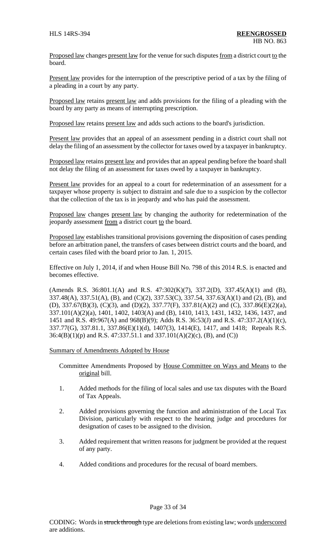Proposed law changes present law for the venue for such disputes from a district court to the board.

Present law provides for the interruption of the prescriptive period of a tax by the filing of a pleading in a court by any party.

Proposed law retains present law and adds provisions for the filing of a pleading with the board by any party as means of interrupting prescription.

Proposed law retains present law and adds such actions to the board's jurisdiction.

Present law provides that an appeal of an assessment pending in a district court shall not delay the filing of an assessment by the collector for taxes owed by a taxpayer in bankruptcy.

Proposed law retains present law and provides that an appeal pending before the board shall not delay the filing of an assessment for taxes owed by a taxpayer in bankruptcy.

Present law provides for an appeal to a court for redetermination of an assessment for a taxpayer whose property is subject to distraint and sale due to a suspicion by the collector that the collection of the tax is in jeopardy and who has paid the assessment.

Proposed law changes present law by changing the authority for redetermination of the jeopardy assessment from a district court to the board.

Proposed law establishes transitional provisions governing the disposition of cases pending before an arbitration panel, the transfers of cases between district courts and the board, and certain cases filed with the board prior to Jan. 1, 2015.

Effective on July 1, 2014, if and when House Bill No. 798 of this 2014 R.S. is enacted and becomes effective.

(Amends R.S. 36:801.1(A) and R.S. 47:302(K)(7), 337.2(D), 337.45(A)(1) and (B), 337.48(A), 337.51(A), (B), and (C)(2), 337.53(C), 337.54, 337.63(A)(1) and (2), (B), and (D), 337.67(B)(3), (C)(3), and (D)(2), 337.77(F), 337.81(A)(2) and (C), 337.86(E)(2)(a), 337.101(A)(2)(a), 1401, 1402, 1403(A) and (B), 1410, 1413, 1431, 1432, 1436, 1437, and 1451 and R.S. 49:967(A) and 968(B)(9); Adds R.S. 36:53(J) and R.S. 47:337.2(A)(1)(c), 337.77(G), 337.81.1, 337.86(E)(1)(d), 1407(3), 1414(E), 1417, and 1418; Repeals R.S. 36:4(B)(1)(p) and R.S. 47:337.51.1 and 337.101(A)(2)(c), (B), and (C))

Summary of Amendments Adopted by House

Committee Amendments Proposed by House Committee on Ways and Means to the original bill.

- 1. Added methods for the filing of local sales and use tax disputes with the Board of Tax Appeals.
- 2. Added provisions governing the function and administration of the Local Tax Division, particularly with respect to the hearing judge and procedures for designation of cases to be assigned to the division.
- 3. Added requirement that written reasons for judgment be provided at the request of any party.
- 4. Added conditions and procedures for the recusal of board members.